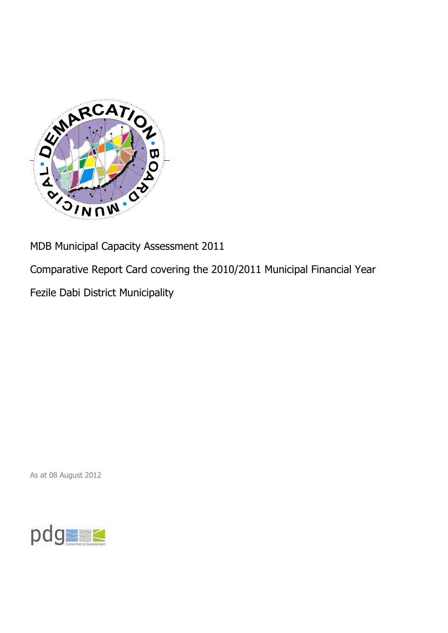

MDB Municipal Capacity Assessment 2011

Comparative Report Card covering the 2010/2011 Municipal Financial Year

Fezile Dabi District Municipality

As at 08 August 2012

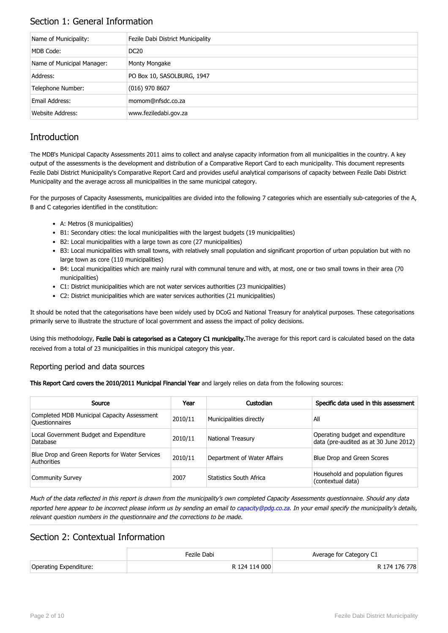# Section 1: General Information

| Name of Municipality:      | Fezile Dabi District Municipality |
|----------------------------|-----------------------------------|
| MDB Code:                  | <b>DC20</b>                       |
| Name of Municipal Manager: | Monty Mongake                     |
| Address:                   | PO Box 10, SASOLBURG, 1947        |
| Telephone Number:          | $(016)$ 970 8607                  |
| Email Address:             | momom@nfsdc.co.za                 |
| Website Address:           | www.feziledabi.gov.za             |

# **Introduction**

The MDB's Municipal Capacity Assessments 2011 aims to collect and analyse capacity information from all municipalities in the country. A key output of the assessments is the development and distribution of a Comparative Report Card to each municipality. This document represents Fezile Dabi District Municipality's Comparative Report Card and provides useful analytical comparisons of capacity between Fezile Dabi District Municipality and the average across all municipalities in the same municipal category.

For the purposes of Capacity Assessments, municipalities are divided into the following 7 categories which are essentially sub-categories of the A, B and C categories identified in the constitution:

- A: Metros (8 municipalities)
- B1: Secondary cities: the local municipalities with the largest budgets (19 municipalities)
- B2: Local municipalities with a large town as core (27 municipalities)
- B3: Local municipalities with small towns, with relatively small population and significant proportion of urban population but with no large town as core (110 municipalities)
- B4: Local municipalities which are mainly rural with communal tenure and with, at most, one or two small towns in their area (70 municipalities)
- C1: District municipalities which are not water services authorities (23 municipalities)
- C2: District municipalities which are water services authorities (21 municipalities)

It should be noted that the categorisations have been widely used by DCoG and National Treasury for analytical purposes. These categorisations primarily serve to illustrate the structure of local government and assess the impact of policy decisions.

Using this methodology, Fezile Dabi is categorised as a Category C1 municipality. The average for this report card is calculated based on the data received from a total of 23 municipalities in this municipal category this year.

#### Reporting period and data sources

This Report Card covers the 2010/2011 Municipal Financial Year and largely relies on data from the following sources:

| Source                                                               | Year    | Custodian                   | Specific data used in this assessment                                     |
|----------------------------------------------------------------------|---------|-----------------------------|---------------------------------------------------------------------------|
| Completed MDB Municipal Capacity Assessment<br><b>Ouestionnaires</b> | 2010/11 | Municipalities directly     | All                                                                       |
| Local Government Budget and Expenditure<br>Database                  | 2010/11 | <b>National Treasury</b>    | Operating budget and expenditure<br>data (pre-audited as at 30 June 2012) |
| Blue Drop and Green Reports for Water Services<br>Authorities        | 2010/11 | Department of Water Affairs | Blue Drop and Green Scores                                                |
| <b>Community Survey</b>                                              | 2007    | Statistics South Africa     | Household and population figures<br>(contextual data)                     |

Much of the data reflected in this report is drawn from the municipality's own completed Capacity Assessments questionnaire. Should any data reported here appear to be incorrect please inform us by sending an email to [capacity@pdg.co.za](mailto:capacity@pdg.co.za). In your email specify the municipality's details, relevant question numbers in the questionnaire and the corrections to be made.

## Section 2: Contextual Information

|                        | Fezile Dabi   | Average for Category C1 |
|------------------------|---------------|-------------------------|
| Operating Expenditure: | R 124 114 000 | R 174 176 778           |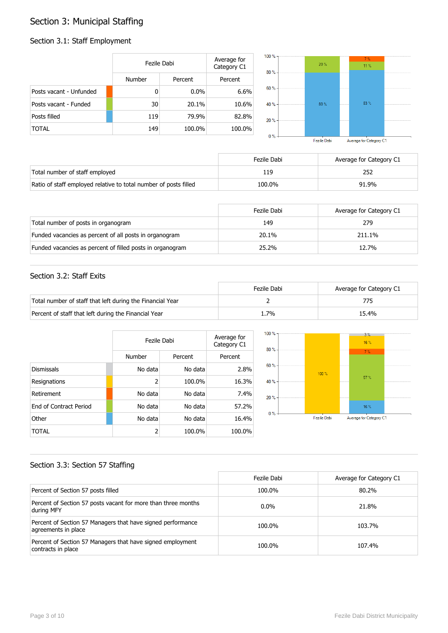# Section 3: Municipal Staffing

# Section 3.1: Staff Employment

|                         | Fezile Dabi |         | Average for<br>Category C1 | 100 % -<br>80% | 20%     | 7%<br>11.% |  |
|-------------------------|-------------|---------|----------------------------|----------------|---------|------------|--|
|                         | Number      | Percent | Percent                    |                |         |            |  |
| Posts vacant - Unfunded | 0           | $0.0\%$ | 6.6%                       | 60 % -         |         |            |  |
| Posts vacant - Funded   | 30          | 20.1%   | 10.6%                      | 40 % -         | $80 \%$ | 83%        |  |
| Posts filled            | 119         | 79.9%   | 82.8%                      | $20% -$        |         |            |  |
| <b>TOTAL</b>            | 149         | 100.0%  | 100.0%                     | $0\%$ -        |         |            |  |

Fezile Dabi Average for Category C1

|                                                                  | Fezile Dabi | Average for Category C1 |
|------------------------------------------------------------------|-------------|-------------------------|
| Total number of staff employed                                   | 119         |                         |
| Ratio of staff employed relative to total number of posts filled | 100.0%      | 91.9%                   |

|                                                           | Fezile Dabi | Average for Category C1 |
|-----------------------------------------------------------|-------------|-------------------------|
| Total number of posts in organogram                       | 149         | 279                     |
| Funded vacancies as percent of all posts in organogram    | 20.1%       | 211.1%                  |
| Funded vacancies as percent of filled posts in organogram | 25.2%       | 12.7%                   |

#### Section 3.2: Staff Exits

|                                                           | Fezile Dabi | Average for Category C1 |
|-----------------------------------------------------------|-------------|-------------------------|
| Total number of staff that left during the Financial Year |             |                         |
| Percent of staff that left during the Financial Year      | 1.7%        | 15.4%                   |

|                        | Fezile Dabi | Average for<br>Category C1 |         |
|------------------------|-------------|----------------------------|---------|
|                        | Number      | Percent                    | Percent |
| <b>Dismissals</b>      | No data     | No data                    | 2.8%    |
| Resignations           | 2           | 100.0%                     | 16.3%   |
| Retirement             | No data     | No data                    | 7.4%    |
| End of Contract Period | No data     | No data                    | 57.2%   |
| Other                  | No data     | No data                    | 16.4%   |
| TOTAL                  | 2           | 100.0%                     | 100.0%  |



### Section 3.3: Section 57 Staffing

|                                                                                    | Fezile Dabi | Average for Category C1 |
|------------------------------------------------------------------------------------|-------------|-------------------------|
| Percent of Section 57 posts filled                                                 | 100.0%      | 80.2%                   |
| Percent of Section 57 posts vacant for more than three months<br>during MFY        | $0.0\%$     | 21.8%                   |
| Percent of Section 57 Managers that have signed performance<br>agreements in place | 100.0%      | 103.7%                  |
| Percent of Section 57 Managers that have signed employment<br>contracts in place   | 100.0%      | 107.4%                  |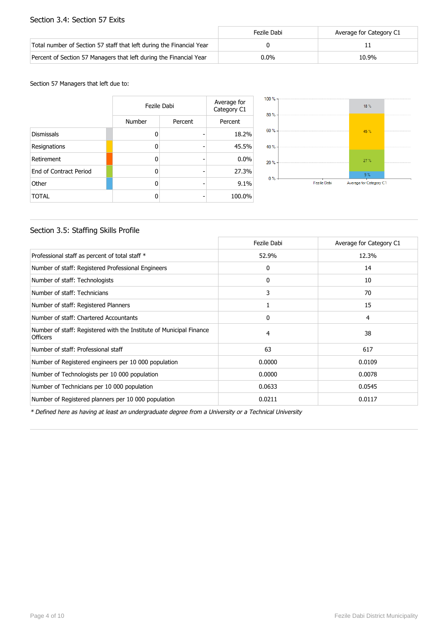#### Section 3.4: Section 57 Exits

|                                                                      | Fezile Dabi | Average for Category C1 |
|----------------------------------------------------------------------|-------------|-------------------------|
| Total number of Section 57 staff that left during the Financial Year |             |                         |
| Percent of Section 57 Managers that left during the Financial Year   | $0.0\%$     | 10.9%                   |

#### Section 57 Managers that left due to:

|                        | Fezile Dabi | Average for<br>Category C1 |         |
|------------------------|-------------|----------------------------|---------|
|                        | Number      | Percent                    | Percent |
| <b>Dismissals</b>      | n           |                            | 18.2%   |
| Resignations           | ŋ           | -                          | 45.5%   |
| Retirement             | ŋ           |                            | 0.0%    |
| End of Contract Period | n           |                            | 27.3%   |
| Other                  | n           |                            | 9.1%    |
| <b>TOTAL</b>           |             |                            | 100.0%  |



### Section 3.5: Staffing Skills Profile

|                                                                                        | Fezile Dabi | Average for Category C1 |
|----------------------------------------------------------------------------------------|-------------|-------------------------|
| Professional staff as percent of total staff *                                         | 52.9%       | 12.3%                   |
| Number of staff: Registered Professional Engineers                                     | 0           | 14                      |
| Number of staff: Technologists                                                         | 0           | 10                      |
| Number of staff: Technicians                                                           | 3           | 70                      |
| Number of staff: Registered Planners                                                   | 1           | 15                      |
| Number of staff: Chartered Accountants                                                 | 0           | 4                       |
| Number of staff: Registered with the Institute of Municipal Finance<br><b>Officers</b> | 4           | 38                      |
| Number of staff: Professional staff                                                    | 63          | 617                     |
| Number of Registered engineers per 10 000 population                                   | 0.0000      | 0.0109                  |
| Number of Technologists per 10 000 population                                          | 0.0000      | 0.0078                  |
| Number of Technicians per 10 000 population                                            | 0.0633      | 0.0545                  |
| Number of Registered planners per 10 000 population                                    | 0.0211      | 0.0117                  |

\* Defined here as having at least an undergraduate degree from a University or a Technical University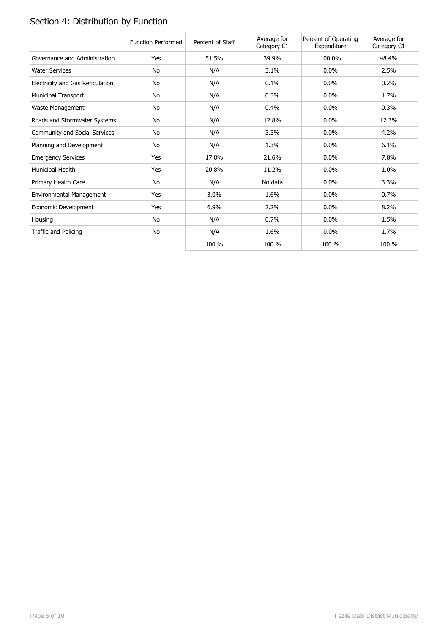# Section 4: Distribution by Function

|                                  | <b>Function Performed</b> | Percent of Staff | Average for<br>Category C1 | Percent of Operating<br>Expenditure | Average for<br>Category C1 |
|----------------------------------|---------------------------|------------------|----------------------------|-------------------------------------|----------------------------|
| Governance and Administration    | Yes                       | 51.5%            | 39.9%                      | 100.0%                              | 48.4%                      |
| <b>Water Services</b>            | No                        | N/A              | 3.1%                       | 0.0%                                | 2.5%                       |
| Electricity and Gas Reticulation | No                        | N/A              | 0.1%                       | 0.0%                                | 0.2%                       |
| Municipal Transport              | <b>No</b>                 | N/A              | 0.3%                       | 0.0%                                | 1.7%                       |
| Waste Management                 | No                        | N/A              | 0.4%                       | 0.0%                                | 0.3%                       |
| Roads and Stormwater Systems     | No                        | N/A              | 12.8%                      | 0.0%                                | 12.3%                      |
| Community and Social Services    | No                        | N/A              | 3.3%                       | 0.0%                                | 4.2%                       |
| Planning and Development         | No                        | N/A              | 1.3%                       | 0.0%                                | 6.1%                       |
| <b>Emergency Services</b>        | Yes                       | 17.8%            | 21.6%                      | $0.0\%$                             | 7.8%                       |
| Municipal Health                 | Yes                       | 20.8%            | 11.2%                      | $0.0\%$                             | 1.0%                       |
| Primary Health Care              | No                        | N/A              | No data                    | 0.0%                                | 3.3%                       |
| Environmental Management         | Yes                       | 3.0%             | 1.6%                       | 0.0%                                | 0.7%                       |
| Economic Development             | Yes                       | 6.9%             | 2.2%                       | 0.0%                                | 8.2%                       |
| Housing                          | No                        | N/A              | 0.7%                       | $0.0\%$                             | 1.5%                       |
| Traffic and Policing             | No                        | N/A              | 1.6%                       | $0.0\%$                             | 1.7%                       |
|                                  |                           | 100 %            | 100 %                      | 100 %                               | 100 %                      |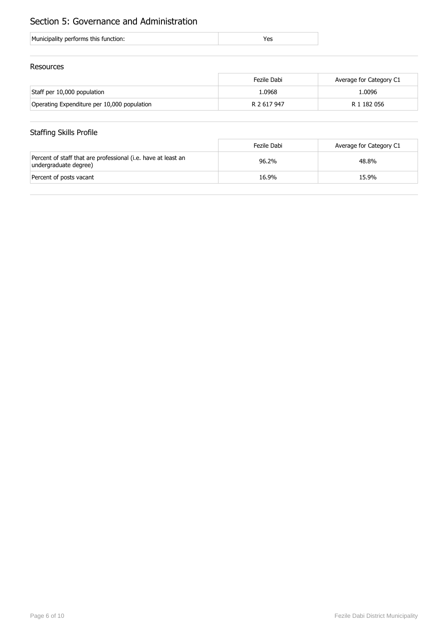# Section 5: Governance and Administration

| Municipality performs this function: |  |
|--------------------------------------|--|
|                                      |  |

#### Resources

|                                             | Fezile Dabi | Average for Category C1 |
|---------------------------------------------|-------------|-------------------------|
| Staff per 10,000 population                 | 1.0968      | 1.0096                  |
| Operating Expenditure per 10,000 population | R 2 617 947 | R 1 182 056             |

# Staffing Skills Profile

|                                                                                        | Fezile Dabi | Average for Category C1 |
|----------------------------------------------------------------------------------------|-------------|-------------------------|
| Percent of staff that are professional (i.e. have at least an<br>undergraduate degree) | 96.2%       | 48.8%                   |
| Percent of posts vacant                                                                | 16.9%       | 15.9%                   |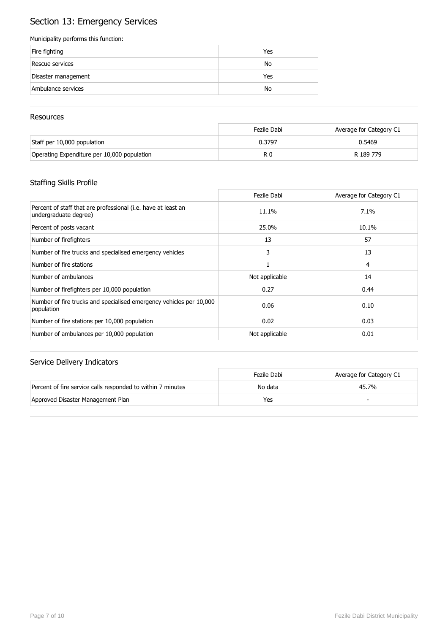# Section 13: Emergency Services

#### Municipality performs this function:

| Fire fighting       | Yes |
|---------------------|-----|
| Rescue services     | No  |
| Disaster management | Yes |
| Ambulance services  | No  |

#### **Resources**

|                                             | Fezile Dabi    | Average for Category C1 |
|---------------------------------------------|----------------|-------------------------|
| Staff per 10,000 population                 | 0.3797         | 0.5469                  |
| Operating Expenditure per 10,000 population | R <sub>0</sub> | R 189 779               |

# Staffing Skills Profile

|                                                                                        | Fezile Dabi    | Average for Category C1 |
|----------------------------------------------------------------------------------------|----------------|-------------------------|
| Percent of staff that are professional (i.e. have at least an<br>undergraduate degree) | 11.1%          | $7.1\%$                 |
| Percent of posts vacant                                                                | 25.0%          | 10.1%                   |
| Number of firefighters                                                                 | 13             | 57                      |
| Number of fire trucks and specialised emergency vehicles                               | 3              | 13                      |
| Number of fire stations                                                                |                | 4                       |
| Number of ambulances                                                                   | Not applicable | 14                      |
| Number of firefighters per 10,000 population                                           | 0.27           | 0.44                    |
| Number of fire trucks and specialised emergency vehicles per 10,000<br>population      | 0.06           | 0.10                    |
| Number of fire stations per 10,000 population                                          | 0.02           | 0.03                    |
| Number of ambulances per 10,000 population                                             | Not applicable | 0.01                    |

|                                                             | Fezile Dabi | Average for Category C1 |
|-------------------------------------------------------------|-------------|-------------------------|
| Percent of fire service calls responded to within 7 minutes | No data     | 45.7%                   |
| Approved Disaster Management Plan                           | Yes         |                         |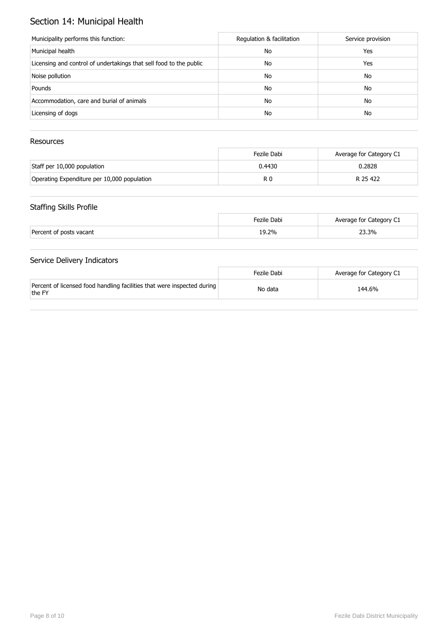# Section 14: Municipal Health

| Municipality performs this function:                               | Regulation & facilitation | Service provision |
|--------------------------------------------------------------------|---------------------------|-------------------|
| Municipal health                                                   | No                        | Yes               |
| Licensing and control of undertakings that sell food to the public | No                        | Yes               |
| Noise pollution                                                    | No                        | No                |
| Pounds                                                             | No                        | No                |
| Accommodation, care and burial of animals                          | No                        | No                |
| Licensing of dogs                                                  | No                        | No                |

### Resources

|                                             | Fezile Dabi | Average for Category C1 |
|---------------------------------------------|-------------|-------------------------|
| Staff per 10,000 population                 | 0.4430      | 0.2828                  |
| Operating Expenditure per 10,000 population | R 0         | R 25 422                |

### Staffing Skills Profile

|                         | Fezile Dabi | Average for Category C1 |
|-------------------------|-------------|-------------------------|
| Percent of posts vacant | 19.2%       | 23.3%                   |

|                                                                                   | Fezile Dabi | Average for Category C1 |
|-----------------------------------------------------------------------------------|-------------|-------------------------|
| Percent of licensed food handling facilities that were inspected during<br>the FY | No data     | 144.6%                  |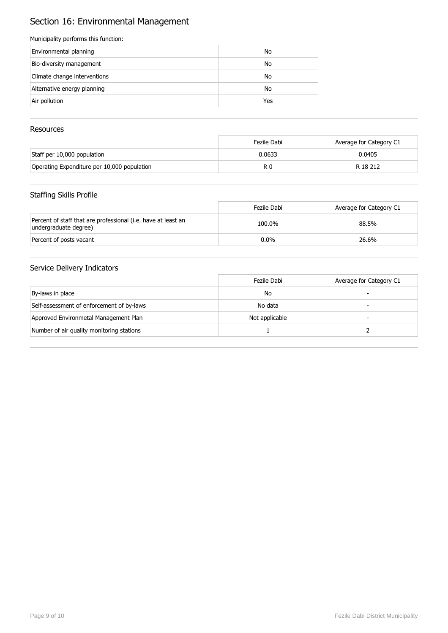# Section 16: Environmental Management

#### Municipality performs this function:

| Environmental planning       | No  |
|------------------------------|-----|
| Bio-diversity management     | No  |
| Climate change interventions | No  |
| Alternative energy planning  | No  |
| Air pollution                | Yes |

### Resources

|                                             | Fezile Dabi | Average for Category C1 |
|---------------------------------------------|-------------|-------------------------|
| Staff per 10,000 population                 | 0.0633      | 0.0405                  |
| Operating Expenditure per 10,000 population | R 0         | R 18 212                |

### Staffing Skills Profile

|                                                                                        | Fezile Dabi | Average for Category C1 |
|----------------------------------------------------------------------------------------|-------------|-------------------------|
| Percent of staff that are professional (i.e. have at least an<br>undergraduate degree) | 100.0%      | 88.5%                   |
| Percent of posts vacant                                                                | $0.0\%$     | 26.6%                   |

|                                           | Fezile Dabi    | Average for Category C1 |
|-------------------------------------------|----------------|-------------------------|
| By-laws in place                          | No             |                         |
| Self-assessment of enforcement of by-laws | No data        |                         |
| Approved Environmetal Management Plan     | Not applicable |                         |
| Number of air quality monitoring stations |                |                         |